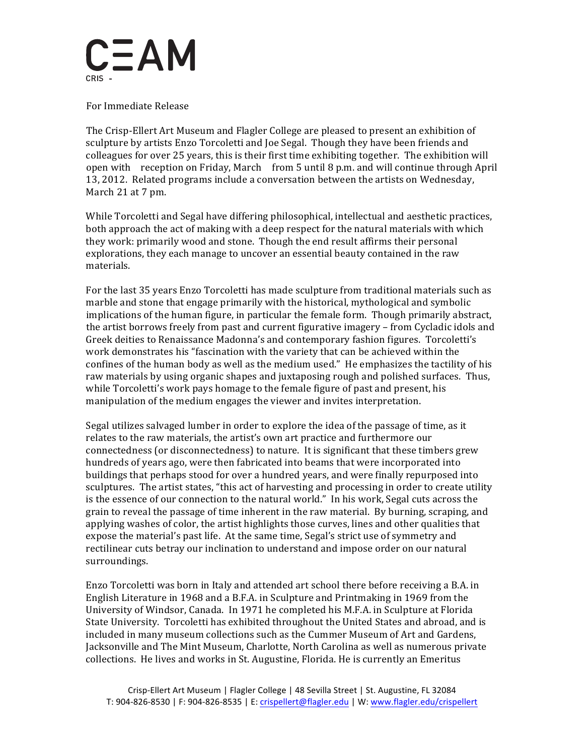

 For Immediate Release

 The Crisp-Ellert Art Museum and Flagler College are pleased to present an exhibition of sculpture by artists Enzo Torcoletti and Joe Segal. Though they have been friends and colleagues for over 25 years, this is their first time exhibiting together. The exhibition will open with reception on Friday, March from 5 until 8 p.m. and will continue through April 13, 2012. Related programs include a conversation between the artists on Wednesday, March 21 at 7 pm.

 While Torcoletti and Segal have differing philosophical, intellectual and aesthetic practices, both approach the act of making with a deep respect for the natural materials with which they work: primarily wood and stone. Though the end result affirms their personal explorations, they each manage to uncover an essential beauty contained in the raw materials.

For the last 35 years Enzo Torcoletti has made sculpture from traditional materials such as marble and stone that engage primarily with the historical, mythological and symbolic implications of the human figure, in particular the female form. Though primarily abstract, the artist borrows freely from past and current figurative imagery – from Cycladic idols and Greek deities to Renaissance Madonna's and contemporary fashion figures. Torcoletti's work demonstrates his "fascination with the variety that can be achieved within the confines of the human body as well as the medium used." He emphasizes the tactility of his raw materials by using organic shapes and juxtaposing rough and polished surfaces. Thus, while Torcoletti's work pays homage to the female figure of past and present, his manipulation of the medium engages the viewer and invites interpretation.

Segal utilizes salvaged lumber in order to explore the idea of the passage of time, as it relates to the raw materials, the artist's own art practice and furthermore our connectedness (or disconnectedness) to nature. It is significant that these timbers grew hundreds of years ago, were then fabricated into beams that were incorporated into buildings that perhaps stood for over a hundred years, and were finally repurposed into sculptures. The artist states, "this act of harvesting and processing in order to create utility is the essence of our connection to the natural world." In his work, Segal cuts across the grain to reveal the passage of time inherent in the raw material. By burning, scraping, and applying washes of color, the artist highlights those curves, lines and other qualities that expose the material's past life. At the same time, Segal's strict use of symmetry and rectilinear cuts betray our inclination to understand and impose order on our natural surroundings.

Enzo Torcoletti was born in Italy and attended art school there before receiving a B.A. in English Literature in 1968 and a B.F.A. in Sculpture and Printmaking in 1969 from the University of Windsor, Canada. In 1971 he completed his M.F.A. in Sculpture at Florida State University. Torcoletti has exhibited throughout the United States and abroad, and is included in many museum collections such as the Cummer Museum of Art and Gardens, Jacksonville and The Mint Museum, Charlotte, North Carolina as well as numerous private collections. He lives and works in St. Augustine, Florida. He is currently an Emeritus